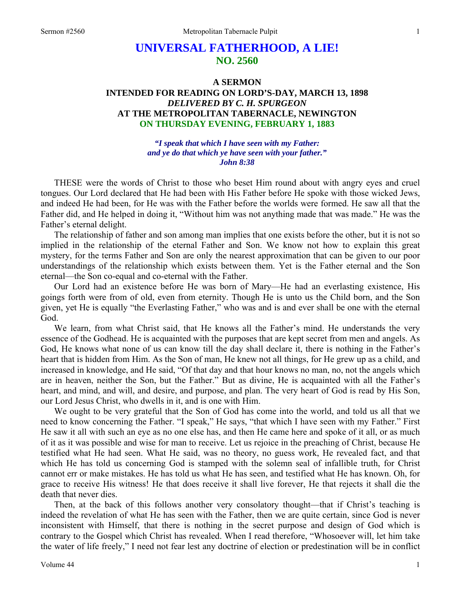# **UNIVERSAL FATHERHOOD, A LIE! NO. 2560**

## **A SERMON INTENDED FOR READING ON LORD'S-DAY, MARCH 13, 1898**  *DELIVERED BY C. H. SPURGEON*  **AT THE METROPOLITAN TABERNACLE, NEWINGTON ON THURSDAY EVENING, FEBRUARY 1, 1883**

*"I speak that which I have seen with my Father: and ye do that which ye have seen with your father." John 8:38* 

THESE were the words of Christ to those who beset Him round about with angry eyes and cruel tongues. Our Lord declared that He had been with His Father before He spoke with those wicked Jews, and indeed He had been, for He was with the Father before the worlds were formed. He saw all that the Father did, and He helped in doing it, "Without him was not anything made that was made." He was the Father's eternal delight.

The relationship of father and son among man implies that one exists before the other, but it is not so implied in the relationship of the eternal Father and Son. We know not how to explain this great mystery, for the terms Father and Son are only the nearest approximation that can be given to our poor understandings of the relationship which exists between them. Yet is the Father eternal and the Son eternal—the Son co-equal and co-eternal with the Father.

Our Lord had an existence before He was born of Mary—He had an everlasting existence, His goings forth were from of old, even from eternity. Though He is unto us the Child born, and the Son given, yet He is equally "the Everlasting Father," who was and is and ever shall be one with the eternal God.

We learn, from what Christ said, that He knows all the Father's mind. He understands the very essence of the Godhead. He is acquainted with the purposes that are kept secret from men and angels. As God, He knows what none of us can know till the day shall declare it, there is nothing in the Father's heart that is hidden from Him. As the Son of man, He knew not all things, for He grew up as a child, and increased in knowledge, and He said, "Of that day and that hour knows no man, no, not the angels which are in heaven, neither the Son, but the Father." But as divine, He is acquainted with all the Father's heart, and mind, and will, and desire, and purpose, and plan. The very heart of God is read by His Son, our Lord Jesus Christ, who dwells in it, and is one with Him.

We ought to be very grateful that the Son of God has come into the world, and told us all that we need to know concerning the Father. "I speak," He says, "that which I have seen with my Father." First He saw it all with such an eye as no one else has, and then He came here and spoke of it all, or as much of it as it was possible and wise for man to receive. Let us rejoice in the preaching of Christ, because He testified what He had seen. What He said, was no theory, no guess work, He revealed fact, and that which He has told us concerning God is stamped with the solemn seal of infallible truth, for Christ cannot err or make mistakes. He has told us what He has seen, and testified what He has known. Oh, for grace to receive His witness! He that does receive it shall live forever, He that rejects it shall die the death that never dies.

Then, at the back of this follows another very consolatory thought—that if Christ's teaching is indeed the revelation of what He has seen with the Father, then we are quite certain, since God is never inconsistent with Himself, that there is nothing in the secret purpose and design of God which is contrary to the Gospel which Christ has revealed. When I read therefore, "Whosoever will, let him take the water of life freely," I need not fear lest any doctrine of election or predestination will be in conflict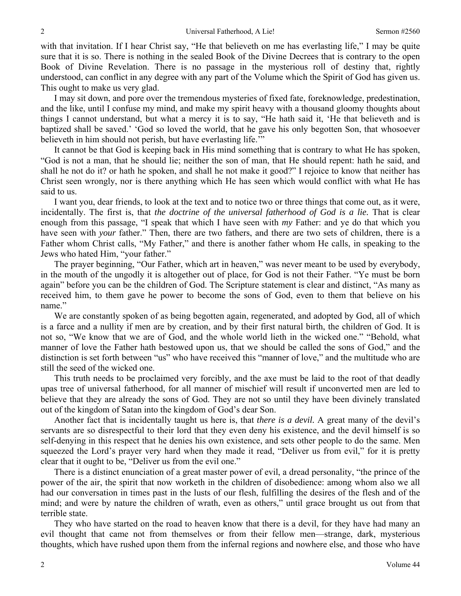with that invitation. If I hear Christ say, "He that believeth on me has everlasting life," I may be quite sure that it is so. There is nothing in the sealed Book of the Divine Decrees that is contrary to the open Book of Divine Revelation. There is no passage in the mysterious roll of destiny that, rightly understood, can conflict in any degree with any part of the Volume which the Spirit of God has given us. This ought to make us very glad.

I may sit down, and pore over the tremendous mysteries of fixed fate, foreknowledge, predestination, and the like, until I confuse my mind, and make my spirit heavy with a thousand gloomy thoughts about things I cannot understand, but what a mercy it is to say, "He hath said it, 'He that believeth and is baptized shall be saved.' 'God so loved the world, that he gave his only begotten Son, that whosoever believeth in him should not perish, but have everlasting life."

It cannot be that God is keeping back in His mind something that is contrary to what He has spoken, "God is not a man, that he should lie; neither the son of man, that He should repent: hath he said, and shall he not do it? or hath he spoken, and shall he not make it good?" I rejoice to know that neither has Christ seen wrongly, nor is there anything which He has seen which would conflict with what He has said to us.

I want you, dear friends, to look at the text and to notice two or three things that come out, as it were, incidentally. The first is, that *the doctrine of the universal fatherhood of God is a lie.* That is clear enough from this passage, "I speak that which I have seen with *my* Father: and ye do that which you have seen with *your* father." Then, there are two fathers, and there are two sets of children, there is a Father whom Christ calls, "My Father," and there is another father whom He calls, in speaking to the Jews who hated Him, "your father."

The prayer beginning, "Our Father, which art in heaven," was never meant to be used by everybody, in the mouth of the ungodly it is altogether out of place, for God is not their Father. "Ye must be born again" before you can be the children of God. The Scripture statement is clear and distinct, "As many as received him, to them gave he power to become the sons of God, even to them that believe on his name."

We are constantly spoken of as being begotten again, regenerated, and adopted by God, all of which is a farce and a nullity if men are by creation, and by their first natural birth, the children of God. It is not so, "We know that we are of God, and the whole world lieth in the wicked one." "Behold, what manner of love the Father hath bestowed upon us, that we should be called the sons of God," and the distinction is set forth between "us" who have received this "manner of love," and the multitude who are still the seed of the wicked one.

This truth needs to be proclaimed very forcibly, and the axe must be laid to the root of that deadly upas tree of universal fatherhood, for all manner of mischief will result if unconverted men are led to believe that they are already the sons of God. They are not so until they have been divinely translated out of the kingdom of Satan into the kingdom of God's dear Son.

Another fact that is incidentally taught us here is, that *there is a devil.* A great many of the devil's servants are so disrespectful to their lord that they even deny his existence, and the devil himself is so self-denying in this respect that he denies his own existence, and sets other people to do the same. Men squeezed the Lord's prayer very hard when they made it read, "Deliver us from evil," for it is pretty clear that it ought to be, "Deliver us from the evil one."

There is a distinct enunciation of a great master power of evil, a dread personality, "the prince of the power of the air, the spirit that now worketh in the children of disobedience: among whom also we all had our conversation in times past in the lusts of our flesh, fulfilling the desires of the flesh and of the mind; and were by nature the children of wrath, even as others," until grace brought us out from that terrible state.

They who have started on the road to heaven know that there is a devil, for they have had many an evil thought that came not from themselves or from their fellow men—strange, dark, mysterious thoughts, which have rushed upon them from the infernal regions and nowhere else, and those who have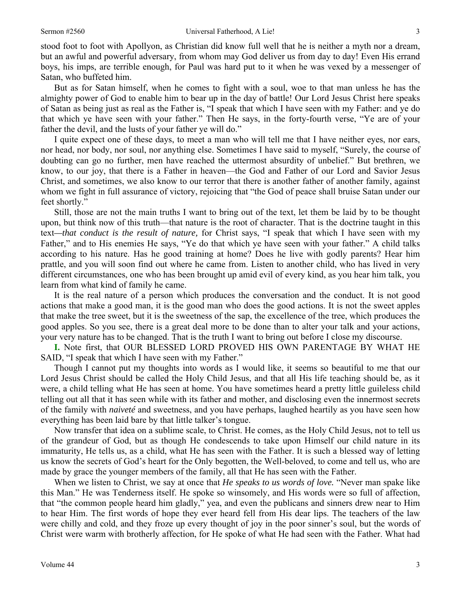stood foot to foot with Apollyon, as Christian did know full well that he is neither a myth nor a dream, but an awful and powerful adversary, from whom may God deliver us from day to day! Even His errand boys, his imps, are terrible enough, for Paul was hard put to it when he was vexed by a messenger of Satan, who buffeted him.

But as for Satan himself, when he comes to fight with a soul, woe to that man unless he has the almighty power of God to enable him to bear up in the day of battle! Our Lord Jesus Christ here speaks of Satan as being just as real as the Father is, "I speak that which I have seen with my Father: and ye do that which ye have seen with your father." Then He says, in the forty-fourth verse, "Ye are of your father the devil, and the lusts of your father ye will do."

I quite expect one of these days, to meet a man who will tell me that I have neither eyes, nor ears, nor head, nor body, nor soul, nor anything else. Sometimes I have said to myself, "Surely, the course of doubting can go no further, men have reached the uttermost absurdity of unbelief." But brethren, we know, to our joy, that there is a Father in heaven—the God and Father of our Lord and Savior Jesus Christ, and sometimes, we also know to our terror that there is another father of another family, against whom we fight in full assurance of victory, rejoicing that "the God of peace shall bruise Satan under our feet shortly."

Still, those are not the main truths I want to bring out of the text, let them be laid by to be thought upon, but think now of this truth—that nature is the root of character. That is the doctrine taught in this text*—that conduct is the result of nature,* for Christ says, "I speak that which I have seen with my Father," and to His enemies He says, "Ye do that which ye have seen with your father." A child talks according to his nature. Has he good training at home? Does he live with godly parents? Hear him prattle, and you will soon find out where he came from. Listen to another child, who has lived in very different circumstances, one who has been brought up amid evil of every kind, as you hear him talk, you learn from what kind of family he came.

It is the real nature of a person which produces the conversation and the conduct. It is not good actions that make a good man, it is the good man who does the good actions. It is not the sweet apples that make the tree sweet, but it is the sweetness of the sap, the excellence of the tree, which produces the good apples. So you see, there is a great deal more to be done than to alter your talk and your actions, your very nature has to be changed. That is the truth I want to bring out before I close my discourse.

**I.** Note first, that OUR BLESSED LORD PROVED HIS OWN PARENTAGE BY WHAT HE SAID, "I speak that which I have seen with my Father."

Though I cannot put my thoughts into words as I would like, it seems so beautiful to me that our Lord Jesus Christ should be called the Holy Child Jesus, and that all His life teaching should be, as it were, a child telling what He has seen at home. You have sometimes heard a pretty little guileless child telling out all that it has seen while with its father and mother, and disclosing even the innermost secrets of the family with *naiveté* and sweetness, and you have perhaps, laughed heartily as you have seen how everything has been laid bare by that little talker's tongue.

Now transfer that idea on a sublime scale, to Christ. He comes, as the Holy Child Jesus, not to tell us of the grandeur of God, but as though He condescends to take upon Himself our child nature in its immaturity, He tells us, as a child, what He has seen with the Father. It is such a blessed way of letting us know the secrets of God's heart for the Only begotten, the Well-beloved, to come and tell us, who are made by grace the younger members of the family, all that He has seen with the Father.

When we listen to Christ, we say at once that *He speaks to us words of love.* "Never man spake like this Man." He was Tenderness itself. He spoke so winsomely, and His words were so full of affection, that "the common people heard him gladly," yea, and even the publicans and sinners drew near to Him to hear Him. The first words of hope they ever heard fell from His dear lips. The teachers of the law were chilly and cold, and they froze up every thought of joy in the poor sinner's soul, but the words of Christ were warm with brotherly affection, for He spoke of what He had seen with the Father. What had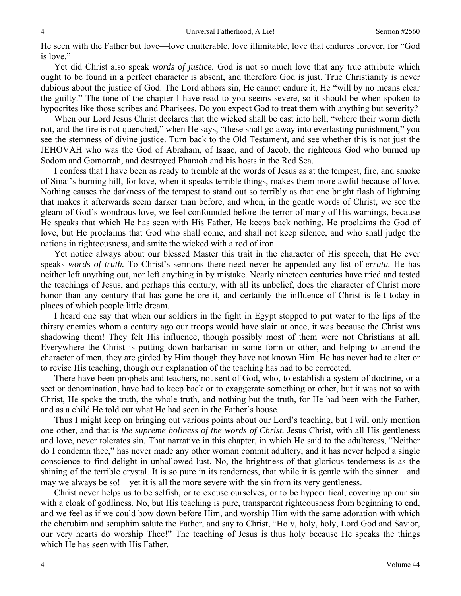He seen with the Father but love—love unutterable, love illimitable, love that endures forever, for "God is love."

Yet did Christ also speak *words of justice.* God is not so much love that any true attribute which ought to be found in a perfect character is absent, and therefore God is just. True Christianity is never dubious about the justice of God. The Lord abhors sin, He cannot endure it, He "will by no means clear the guilty." The tone of the chapter I have read to you seems severe, so it should be when spoken to hypocrites like those scribes and Pharisees. Do you expect God to treat them with anything but severity?

When our Lord Jesus Christ declares that the wicked shall be cast into hell, "where their worm dieth not, and the fire is not quenched," when He says, "these shall go away into everlasting punishment," you see the sternness of divine justice. Turn back to the Old Testament, and see whether this is not just the JEHOVAH who was the God of Abraham, of Isaac, and of Jacob, the righteous God who burned up Sodom and Gomorrah, and destroyed Pharaoh and his hosts in the Red Sea.

I confess that I have been as ready to tremble at the words of Jesus as at the tempest, fire, and smoke of Sinai's burning hill, for love, when it speaks terrible things, makes them more awful because of love. Nothing causes the darkness of the tempest to stand out so terribly as that one bright flash of lightning that makes it afterwards seem darker than before, and when, in the gentle words of Christ, we see the gleam of God's wondrous love, we feel confounded before the terror of many of His warnings, because He speaks that which He has seen with His Father, He keeps back nothing. He proclaims the God of love, but He proclaims that God who shall come, and shall not keep silence, and who shall judge the nations in righteousness, and smite the wicked with a rod of iron.

Yet notice always about our blessed Master this trait in the character of His speech, that He ever speaks *words of truth.* To Christ's sermons there need never be appended any list of *errata.* He has neither left anything out, nor left anything in by mistake. Nearly nineteen centuries have tried and tested the teachings of Jesus, and perhaps this century, with all its unbelief, does the character of Christ more honor than any century that has gone before it, and certainly the influence of Christ is felt today in places of which people little dream.

I heard one say that when our soldiers in the fight in Egypt stopped to put water to the lips of the thirsty enemies whom a century ago our troops would have slain at once, it was because the Christ was shadowing them! They felt His influence, though possibly most of them were not Christians at all. Everywhere the Christ is putting down barbarism in some form or other, and helping to amend the character of men, they are girded by Him though they have not known Him. He has never had to alter or to revise His teaching, though our explanation of the teaching has had to be corrected.

There have been prophets and teachers, not sent of God, who, to establish a system of doctrine, or a sect or denomination, have had to keep back or to exaggerate something or other, but it was not so with Christ, He spoke the truth, the whole truth, and nothing but the truth, for He had been with the Father, and as a child He told out what He had seen in the Father's house.

Thus I might keep on bringing out various points about our Lord's teaching, but I will only mention one other, and that is *the supreme holiness of the words of Christ.* Jesus Christ, with all His gentleness and love, never tolerates sin. That narrative in this chapter, in which He said to the adulteress, "Neither do I condemn thee," has never made any other woman commit adultery, and it has never helped a single conscience to find delight in unhallowed lust. No, the brightness of that glorious tenderness is as the shining of the terrible crystal. It is so pure in its tenderness, that while it is gentle with the sinner—and may we always be so!—yet it is all the more severe with the sin from its very gentleness.

Christ never helps us to be selfish, or to excuse ourselves, or to be hypocritical, covering up our sin with a cloak of godliness. No, but His teaching is pure, transparent righteousness from beginning to end, and we feel as if we could bow down before Him, and worship Him with the same adoration with which the cherubim and seraphim salute the Father, and say to Christ, "Holy, holy, holy, Lord God and Savior, our very hearts do worship Thee!" The teaching of Jesus is thus holy because He speaks the things which He has seen with His Father.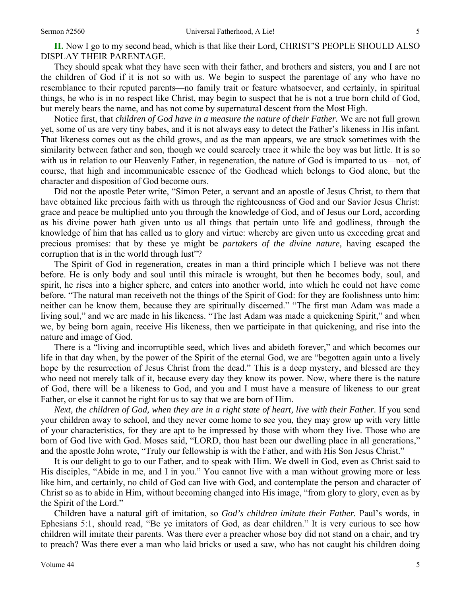**II.** Now I go to my second head, which is that like their Lord, CHRIST'S PEOPLE SHOULD ALSO DISPLAY THEIR PARENTAGE.

They should speak what they have seen with their father, and brothers and sisters, you and I are not the children of God if it is not so with us. We begin to suspect the parentage of any who have no resemblance to their reputed parents—no family trait or feature whatsoever, and certainly, in spiritual things, he who is in no respect like Christ, may begin to suspect that he is not a true born child of God, but merely bears the name, and has not come by supernatural descent from the Most High.

Notice first, that *children of God have in a measure the nature of their Father.* We are not full grown yet, some of us are very tiny babes, and it is not always easy to detect the Father's likeness in His infant. That likeness comes out as the child grows, and as the man appears, we are struck sometimes with the similarity between father and son, though we could scarcely trace it while the boy was but little. It is so with us in relation to our Heavenly Father, in regeneration, the nature of God is imparted to us—not, of course, that high and incommunicable essence of the Godhead which belongs to God alone, but the character and disposition of God become ours.

Did not the apostle Peter write, "Simon Peter, a servant and an apostle of Jesus Christ, to them that have obtained like precious faith with us through the righteousness of God and our Savior Jesus Christ: grace and peace be multiplied unto you through the knowledge of God, and of Jesus our Lord, according as his divine power hath given unto us all things that pertain unto life and godliness, through the knowledge of him that has called us to glory and virtue: whereby are given unto us exceeding great and precious promises: that by these ye might be *partakers of the divine nature,* having escaped the corruption that is in the world through lust"?

The Spirit of God in regeneration, creates in man a third principle which I believe was not there before. He is only body and soul until this miracle is wrought, but then he becomes body, soul, and spirit, he rises into a higher sphere, and enters into another world, into which he could not have come before. "The natural man receiveth not the things of the Spirit of God: for they are foolishness unto him: neither can he know them, because they are spiritually discerned." "The first man Adam was made a living soul," and we are made in his likeness. "The last Adam was made a quickening Spirit," and when we, by being born again, receive His likeness, then we participate in that quickening, and rise into the nature and image of God.

There is a "living and incorruptible seed, which lives and abideth forever," and which becomes our life in that day when, by the power of the Spirit of the eternal God, we are "begotten again unto a lively hope by the resurrection of Jesus Christ from the dead." This is a deep mystery, and blessed are they who need not merely talk of it, because every day they know its power. Now, where there is the nature of God, there will be a likeness to God, and you and I must have a measure of likeness to our great Father, or else it cannot be right for us to say that we are born of Him.

*Next, the children of God, when they are in a right state of heart, live with their Father.* If you send your children away to school, and they never come home to see you, they may grow up with very little of your characteristics, for they are apt to be impressed by those with whom they live. Those who are born of God live with God. Moses said, "LORD, thou hast been our dwelling place in all generations," and the apostle John wrote, "Truly our fellowship is with the Father, and with His Son Jesus Christ."

It is our delight to go to our Father, and to speak with Him. We dwell in God, even as Christ said to His disciples, "Abide in me, and I in you." You cannot live with a man without growing more or less like him, and certainly, no child of God can live with God, and contemplate the person and character of Christ so as to abide in Him, without becoming changed into His image, "from glory to glory, even as by the Spirit of the Lord."

Children have a natural gift of imitation, so *God's children imitate their Father.* Paul's words, in Ephesians 5:1, should read, "Be ye imitators of God, as dear children." It is very curious to see how children will imitate their parents. Was there ever a preacher whose boy did not stand on a chair, and try to preach? Was there ever a man who laid bricks or used a saw, who has not caught his children doing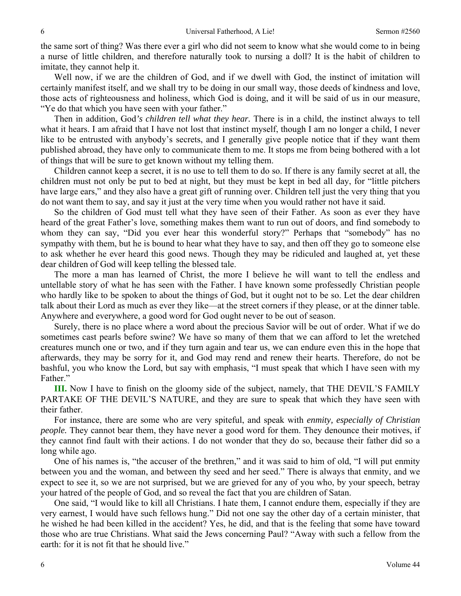the same sort of thing? Was there ever a girl who did not seem to know what she would come to in being a nurse of little children, and therefore naturally took to nursing a doll? It is the habit of children to imitate, they cannot help it.

Well now, if we are the children of God, and if we dwell with God, the instinct of imitation will certainly manifest itself, and we shall try to be doing in our small way, those deeds of kindness and love, those acts of righteousness and holiness, which God is doing, and it will be said of us in our measure, "Ye do that which you have seen with your father."

Then in addition, God*'s children tell what they hear.* There is in a child, the instinct always to tell what it hears. I am afraid that I have not lost that instinct myself, though I am no longer a child, I never like to be entrusted with anybody's secrets, and I generally give people notice that if they want them published abroad, they have only to communicate them to me. It stops me from being bothered with a lot of things that will be sure to get known without my telling them.

Children cannot keep a secret, it is no use to tell them to do so. If there is any family secret at all, the children must not only be put to bed at night, but they must be kept in bed all day, for "little pitchers have large ears," and they also have a great gift of running over. Children tell just the very thing that you do not want them to say, and say it just at the very time when you would rather not have it said.

So the children of God must tell what they have seen of their Father. As soon as ever they have heard of the great Father's love, something makes them want to run out of doors, and find somebody to whom they can say, "Did you ever hear this wonderful story?" Perhaps that "somebody" has no sympathy with them, but he is bound to hear what they have to say, and then off they go to someone else to ask whether he ever heard this good news. Though they may be ridiculed and laughed at, yet these dear children of God will keep telling the blessed tale.

The more a man has learned of Christ, the more I believe he will want to tell the endless and untellable story of what he has seen with the Father. I have known some professedly Christian people who hardly like to be spoken to about the things of God, but it ought not to be so. Let the dear children talk about their Lord as much as ever they like—at the street corners if they please, or at the dinner table. Anywhere and everywhere, a good word for God ought never to be out of season.

Surely, there is no place where a word about the precious Savior will be out of order. What if we do sometimes cast pearls before swine? We have so many of them that we can afford to let the wretched creatures munch one or two, and if they turn again and tear us, we can endure even this in the hope that afterwards, they may be sorry for it, and God may rend and renew their hearts. Therefore, do not be bashful, you who know the Lord, but say with emphasis, "I must speak that which I have seen with my Father."

**III.** Now I have to finish on the gloomy side of the subject, namely, that THE DEVIL'S FAMILY PARTAKE OF THE DEVIL'S NATURE, and they are sure to speak that which they have seen with their father.

For instance, there are some who are very spiteful, and speak with *enmity, especially of Christian people.* They cannot bear them, they have never a good word for them. They denounce their motives, if they cannot find fault with their actions. I do not wonder that they do so, because their father did so a long while ago.

One of his names is, "the accuser of the brethren," and it was said to him of old, "I will put enmity between you and the woman, and between thy seed and her seed." There is always that enmity, and we expect to see it, so we are not surprised, but we are grieved for any of you who, by your speech, betray your hatred of the people of God, and so reveal the fact that you are children of Satan.

One said, "I would like to kill all Christians. I hate them, I cannot endure them, especially if they are very earnest, I would have such fellows hung." Did not one say the other day of a certain minister, that he wished he had been killed in the accident? Yes, he did, and that is the feeling that some have toward those who are true Christians. What said the Jews concerning Paul? "Away with such a fellow from the earth: for it is not fit that he should live."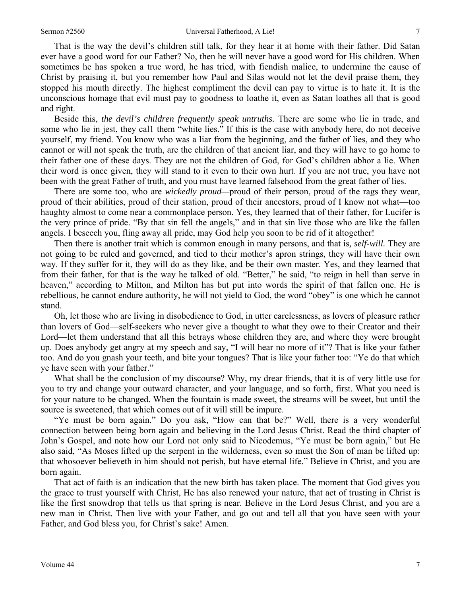That is the way the devil's children still talk, for they hear it at home with their father. Did Satan ever have a good word for our Father? No, then he will never have a good word for His children. When sometimes he has spoken a true word, he has tried, with fiendish malice, to undermine the cause of Christ by praising it, but you remember how Paul and Silas would not let the devil praise them, they stopped his mouth directly. The highest compliment the devil can pay to virtue is to hate it. It is the unconscious homage that evil must pay to goodness to loathe it, even as Satan loathes all that is good and right.

Beside this, *the devil's children frequently speak untruths.* There are some who lie in trade, and some who lie in jest, they cal1 them "white lies." If this is the case with anybody here, do not deceive yourself, my friend. You know who was a liar from the beginning, and the father of lies, and they who cannot or will not speak the truth, are the children of that ancient liar, and they will have to go home to their father one of these days. They are not the children of God, for God's children abhor a lie. When their word is once given, they will stand to it even to their own hurt. If you are not true, you have not been with the great Father of truth, and you must have learned falsehood from the great father of lies.

There are some too, who are *wickedly proud—*proud of their person, proud of the rags they wear, proud of their abilities, proud of their station, proud of their ancestors, proud of I know not what—too haughty almost to come near a commonplace person. Yes, they learned that of their father, for Lucifer is the very prince of pride. "By that sin fell the angels," and in that sin live those who are like the fallen angels. I beseech you, fling away all pride, may God help you soon to be rid of it altogether!

Then there is another trait which is common enough in many persons, and that is*, self-will.* They are not going to be ruled and governed, and tied to their mother's apron strings, they will have their own way. If they suffer for it, they will do as they like, and be their own master. Yes, and they learned that from their father, for that is the way he talked of old. "Better," he said, "to reign in hell than serve in heaven," according to Milton, and Milton has but put into words the spirit of that fallen one. He is rebellious, he cannot endure authority, he will not yield to God, the word "obey" is one which he cannot stand.

Oh, let those who are living in disobedience to God, in utter carelessness, as lovers of pleasure rather than lovers of God—self-seekers who never give a thought to what they owe to their Creator and their Lord—let them understand that all this betrays whose children they are, and where they were brought up. Does anybody get angry at my speech and say, "I will hear no more of it"? That is like your father too. And do you gnash your teeth, and bite your tongues? That is like your father too: "Ye do that which ye have seen with your father."

What shall be the conclusion of my discourse? Why, my drear friends, that it is of very little use for you to try and change your outward character, and your language, and so forth, first. What you need is for your nature to be changed. When the fountain is made sweet, the streams will be sweet, but until the source is sweetened, that which comes out of it will still be impure.

"Ye must be born again." Do you ask, "How can that be?" Well, there is a very wonderful connection between being born again and believing in the Lord Jesus Christ. Read the third chapter of John's Gospel, and note how our Lord not only said to Nicodemus, "Ye must be born again," but He also said, "As Moses lifted up the serpent in the wilderness, even so must the Son of man be lifted up: that whosoever believeth in him should not perish, but have eternal life." Believe in Christ, and you are born again.

That act of faith is an indication that the new birth has taken place. The moment that God gives you the grace to trust yourself with Christ, He has also renewed your nature, that act of trusting in Christ is like the first snowdrop that tells us that spring is near. Believe in the Lord Jesus Christ, and you are a new man in Christ. Then live with your Father, and go out and tell all that you have seen with your Father, and God bless you, for Christ's sake! Amen.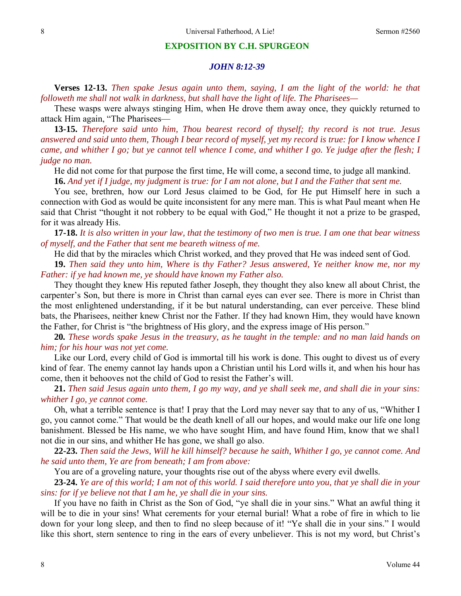#### **EXPOSITION BY C.H. SPURGEON**

#### *JOHN 8:12-39*

**Verses 12-13.** *Then spake Jesus again unto them, saying, I am the light of the world: he that followeth me shall not walk in darkness, but shall have the light of life. The Pharisees—* 

These wasps were always stinging Him, when He drove them away once, they quickly returned to attack Him again, "The Pharisees—

**13-15.** *Therefore said unto him, Thou bearest record of thyself; thy record is not true. Jesus answered and said unto them, Though I bear record of myself, yet my record is true: for I know whence I came, and whither I go; but ye cannot tell whence I come, and whither I go. Ye judge after the flesh; I judge no man.* 

He did not come for that purpose the first time, He will come, a second time, to judge all mankind. **16.** *And yet if I judge, my judgment is true: for I am not alone, but I and the Father that sent me.* 

You see, brethren, how our Lord Jesus claimed to be God, for He put Himself here in such a connection with God as would be quite inconsistent for any mere man. This is what Paul meant when He said that Christ "thought it not robbery to be equal with God," He thought it not a prize to be grasped, for it was already His.

**17-18.** *It is also written in your law, that the testimony of two men is true. I am one that bear witness of myself, and the Father that sent me beareth witness of me.* 

He did that by the miracles which Christ worked, and they proved that He was indeed sent of God.

**19.** *Then said they unto him, Where is thy Father? Jesus answered, Ye neither know me, nor my Father: if ye had known me, ye should have known my Father also.* 

They thought they knew His reputed father Joseph, they thought they also knew all about Christ, the carpenter's Son, but there is more in Christ than carnal eyes can ever see. There is more in Christ than the most enlightened understanding, if it be but natural understanding, can ever perceive. These blind bats, the Pharisees, neither knew Christ nor the Father. If they had known Him, they would have known the Father, for Christ is "the brightness of His glory, and the express image of His person."

**20***. These words spake Jesus in the treasury, as he taught in the temple: and no man laid hands on him; for his hour was not yet come.* 

Like our Lord, every child of God is immortal till his work is done. This ought to divest us of every kind of fear. The enemy cannot lay hands upon a Christian until his Lord wills it, and when his hour has come, then it behooves not the child of God to resist the Father's will.

**21.** *Then said Jesus again unto them, I go my way, and ye shall seek me, and shall die in your sins: whither I go, ye cannot come.* 

Oh, what a terrible sentence is that! I pray that the Lord may never say that to any of us, "Whither I go, you cannot come." That would be the death knell of all our hopes, and would make our life one long banishment. Blessed be His name, we who have sought Him, and have found Him, know that we shal1 not die in our sins, and whither He has gone, we shall go also.

**22-23.** *Then said the Jews, Will he kill himself? because he saith, Whither I go, ye cannot come. And he said unto them, Ye are from beneath; I am from above:* 

You are of a groveling nature, your thoughts rise out of the abyss where every evil dwells.

**23-24.** *Ye are of this world; I am not of this world. I said therefore unto you, that ye shall die in your sins: for if ye believe not that I am he, ye shall die in your sins.* 

If you have no faith in Christ as the Son of God, "ye shall die in your sins." What an awful thing it will be to die in your sins! What cerements for your eternal burial! What a robe of fire in which to lie down for your long sleep, and then to find no sleep because of it! "Ye shall die in your sins." I would like this short, stern sentence to ring in the ears of every unbeliever. This is not my word, but Christ's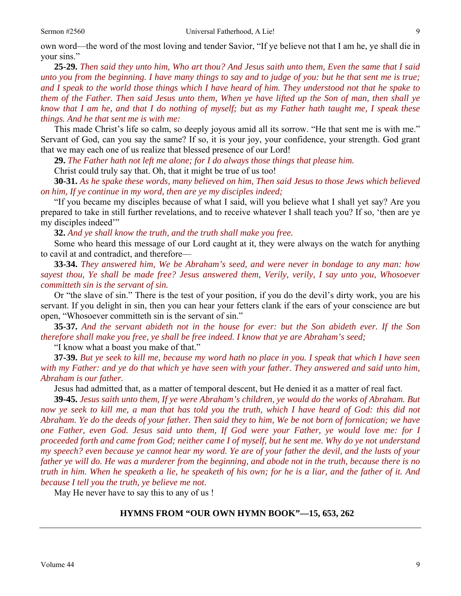own word—the word of the most loving and tender Savior, "If ye believe not that I am he, ye shall die in your sins."

**25-29.** *Then said they unto him, Who art thou? And Jesus saith unto them, Even the same that I said unto you from the beginning. I have many things to say and to judge of you: but he that sent me is true; and I speak to the world those things which I have heard of him. They understood not that he spake to them of the Father. Then said Jesus unto them, When ye have lifted up the Son of man, then shall ye know that I am he, and that I do nothing of myself; but as my Father hath taught me, I speak these things. And he that sent me is with me:* 

This made Christ's life so calm, so deeply joyous amid all its sorrow. "He that sent me is with me." Servant of God, can you say the same? If so, it is your joy, your confidence, your strength. God grant that we may each one of us realize that blessed presence of our Lord!

**29.** *The Father hath not left me alone; for I do always those things that please him.* 

Christ could truly say that. Oh, that it might be true of us too!

**30-31.** *As he spake these words, many believed on him, Then said Jesus to those Jews which believed on him, If ye continue in my word, then are ye my disciples indeed;* 

"If you became my disciples because of what I said, will you believe what I shall yet say? Are you prepared to take in still further revelations, and to receive whatever I shall teach you? If so, 'then are ye my disciples indeed'"

**32.** *And ye shall know the truth, and the truth shall make you free.* 

Some who heard this message of our Lord caught at it, they were always on the watch for anything to cavil at and contradict, and therefore—

**33-34.** *They answered him, We be Abraham's seed, and were never in bondage to any man: how sayest thou, Ye shall be made free? Jesus answered them, Verily, verily, I say unto you, Whosoever committeth sin is the servant of sin.* 

Or "the slave of sin." There is the test of your position, if you do the devil's dirty work, you are his servant. If you delight in sin, then you can hear your fetters clank if the ears of your conscience are but open, "Whosoever committeth sin is the servant of sin."

**35-37.** *And the servant abideth not in the house for ever: but the Son abideth ever. If the Son therefore shall make you free, ye shall be free indeed. I know that ye are Abraham's seed;* 

"I know what a boast you make of that."

**37-39.** *But ye seek to kill me, because my word hath no place in you. I speak that which I have seen with my Father: and ye do that which ye have seen with your father. They answered and said unto him, Abraham is our father.* 

Jesus had admitted that, as a matter of temporal descent, but He denied it as a matter of real fact.

**39-45.** *Jesus saith unto them, If ye were Abraham's children, ye would do the works of Abraham. But*  now ye seek to kill me, a man that has told you the truth, which I have heard of God: this did not *Abraham. Ye do the deeds of your father. Then said they to him, We be not born of fornication; we have one Father, even God. Jesus said unto them, If God were your Father, ye would love me: for I proceeded forth and came from God; neither came I of myself, but he sent me. Why do ye not understand my speech? even because ye cannot hear my word. Ye are of your father the devil, and the lusts of your father ye will do. He was a murderer from the beginning, and abode not in the truth, because there is no truth in him. When he speaketh a lie, he speaketh of his own; for he is a liar, and the father of it. And because I tell you the truth, ye believe me not.* 

May He never have to say this to any of us !

### **HYMNS FROM "OUR OWN HYMN BOOK"—15, 653, 262**